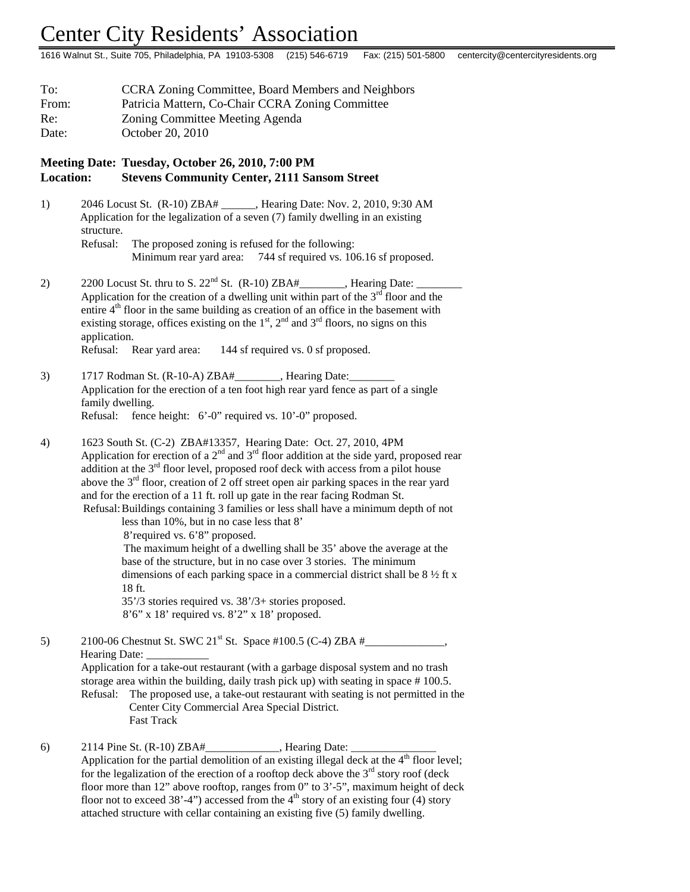## Center City Residents' Association

1616 Walnut St., Suite 705, Philadelphia, PA 19103-5308 (215) 546-6719 Fax: (215) 501-5800 centercity@centercityresidents.org

| To:   | <b>CCRA Zoning Committee, Board Members and Neighbors</b> |  |  |
|-------|-----------------------------------------------------------|--|--|
| From: | Patricia Mattern, Co-Chair CCRA Zoning Committee          |  |  |
| Re:   | Zoning Committee Meeting Agenda                           |  |  |
| Date: | October 20, 2010                                          |  |  |

## **Meeting Date: Tuesday, October 26, 2010, 7:00 PM Location: Stevens Community Center, 2111 Sansom Street**

| 1) |                                                                                |                         | 2046 Locust St. (R-10) ZBA# Fearing Date: Nov. 2, 2010, 9:30 AM |  |
|----|--------------------------------------------------------------------------------|-------------------------|-----------------------------------------------------------------|--|
|    | Application for the legalization of a seven (7) family dwelling in an existing |                         |                                                                 |  |
|    | structure.                                                                     |                         |                                                                 |  |
|    | Refusal:                                                                       |                         | The proposed zoning is refused for the following:               |  |
|    |                                                                                | Minimum rear yard area: | 744 sf required vs. 106.16 sf proposed.                         |  |

- 2) 2200 Locust St. thru to S.  $22<sup>nd</sup>$  St. (R-10) ZBA#\_\_\_\_\_\_\_, Hearing Date: Application for the creation of a dwelling unit within part of the  $3<sup>rd</sup>$  floor and the entire  $4<sup>th</sup>$  floor in the same building as creation of an office in the basement with existing storage, offices existing on the  $1<sup>st</sup>$ ,  $2<sup>nd</sup>$  and  $3<sup>rd</sup>$  floors, no signs on this application. Refusal: Rear yard area: 144 sf required vs. 0 sf proposed.
- 3) 1717 Rodman St. (R-10-A) ZBA#\_\_\_\_\_\_\_, Hearing Date: Application for the erection of a ten foot high rear yard fence as part of a single family dwelling. Refusal: fence height: 6'-0" required vs. 10'-0" proposed.
- 4) 1623 South St. (C-2) ZBA#13357, Hearing Date: Oct. 27, 2010, 4PM Application for erection of a  $2<sup>nd</sup>$  and  $3<sup>rd</sup>$  floor addition at the side yard, proposed rear addition at the  $3<sup>rd</sup>$  floor level, proposed roof deck with access from a pilot house above the 3<sup>rd</sup> floor, creation of 2 off street open air parking spaces in the rear yard and for the erection of a 11 ft. roll up gate in the rear facing Rodman St. Refusal:Buildings containing 3 families or less shall have a minimum depth of not

less than 10%, but in no case less that 8'

8'required vs. 6'8" proposed.

 The maximum height of a dwelling shall be 35' above the average at the base of the structure, but in no case over 3 stories. The minimum dimensions of each parking space in a commercial district shall be 8 ½ ft x 18 ft.

35'/3 stories required vs. 38'/3+ stories proposed. 8'6" x 18' required vs. 8'2" x 18' proposed.

5) 2100-06 Chestnut St. SWC  $21^{st}$  St. Space #100.5 (C-4) ZBA # Hearing Date:

Application for a take-out restaurant (with a garbage disposal system and no trash storage area within the building, daily trash pick up) with seating in space # 100.5. Refusal: The proposed use, a take-out restaurant with seating is not permitted in the Center City Commercial Area Special District. Fast Track

## 6) 2114 Pine St.  $(R-10)$  ZBA#, Hearing Date: Application for the partial demolition of an existing illegal deck at the  $4<sup>th</sup>$  floor level; for the legalization of the erection of a rooftop deck above the  $3<sup>rd</sup>$  story roof (deck floor more than 12" above rooftop, ranges from 0" to 3'-5", maximum height of deck floor not to exceed 38'-4") accessed from the  $4<sup>th</sup>$  story of an existing four (4) story attached structure with cellar containing an existing five (5) family dwelling.